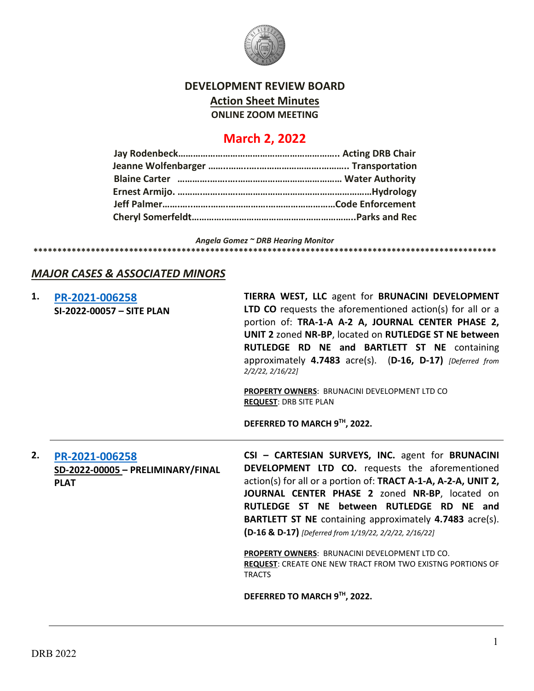

## **DEVELOPMENT REVIEW BOARD Action Sheet Minutes ONLINE ZOOM MEETING**

# **March 2, 2022**

*Angela Gomez ~ DRB Hearing Monitor* **\*\*\*\*\*\*\*\*\*\*\*\*\*\*\*\*\*\*\*\*\*\*\*\*\*\*\*\*\*\*\*\*\*\*\*\*\*\*\*\*\*\*\*\*\*\*\*\*\*\*\*\*\*\*\*\*\*\*\*\*\*\*\*\*\*\*\*\*\*\*\*\*\*\*\*\*\*\*\*\*\*\*\*\*\*\*\*\*\*\*\*\*\*\*\*\*\***

### *MAJOR CASES & ASSOCIATED MINORS*

| 1. | PR-2021-006258<br>SI-2022-00057 - SITE PLAN                        | TIERRA WEST, LLC agent for BRUNACINI DEVELOPMENT<br>LTD CO requests the aforementioned action(s) for all or a<br>portion of: TRA-1-A A-2 A, JOURNAL CENTER PHASE 2,<br>UNIT 2 zoned NR-BP, located on RUTLEDGE ST NE between<br>RUTLEDGE RD NE and BARTLETT ST NE containing<br>approximately 4.7483 acre(s). (D-16, D-17) [Deferred from<br>2/2/22, 2/16/22                                                                                        |
|----|--------------------------------------------------------------------|-----------------------------------------------------------------------------------------------------------------------------------------------------------------------------------------------------------------------------------------------------------------------------------------------------------------------------------------------------------------------------------------------------------------------------------------------------|
|    |                                                                    | PROPERTY OWNERS: BRUNACINI DEVELOPMENT LTD CO<br><b>REQUEST: DRB SITE PLAN</b>                                                                                                                                                                                                                                                                                                                                                                      |
|    |                                                                    | DEFERRED TO MARCH 9™, 2022.                                                                                                                                                                                                                                                                                                                                                                                                                         |
| 2. | PR-2021-006258<br>SD-2022-00005 - PRELIMINARY/FINAL<br><b>PLAT</b> | CSI - CARTESIAN SURVEYS, INC. agent for BRUNACINI<br>DEVELOPMENT LTD CO. requests the aforementioned<br>action(s) for all or a portion of: TRACT A-1-A, A-2-A, UNIT 2,<br>JOURNAL CENTER PHASE 2 zoned NR-BP, located on<br>RUTLEDGE ST NE between RUTLEDGE RD NE and<br><b>BARTLETT ST NE</b> containing approximately 4.7483 acre(s).<br>(D-16 & D-17) [Deferred from 1/19/22, 2/2/22, 2/16/22]<br>PROPERTY OWNERS: BRUNACINI DEVELOPMENT LTD CO. |
|    |                                                                    | <b>REQUEST:</b> CREATE ONE NEW TRACT FROM TWO EXISTNG PORTIONS OF<br><b>TRACTS</b>                                                                                                                                                                                                                                                                                                                                                                  |
|    |                                                                    | DEFERRED TO MARCH 9TH, 2022.                                                                                                                                                                                                                                                                                                                                                                                                                        |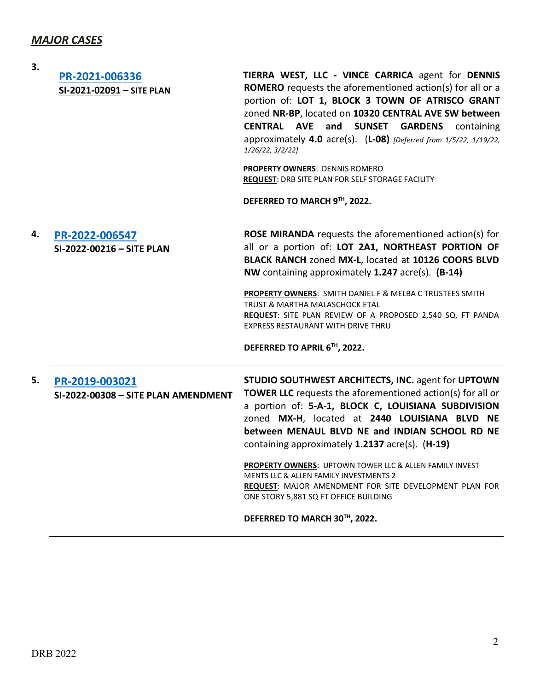| 3. | PR-2021-006336<br>SI-2021-02091 - SITE PLAN           | TIERRA WEST, LLC - VINCE CARRICA agent for DENNIS<br><b>ROMERO</b> requests the aforementioned action(s) for all or a<br>portion of: LOT 1, BLOCK 3 TOWN OF ATRISCO GRANT<br>zoned NR-BP, located on 10320 CENTRAL AVE SW between<br><b>CENTRAL AVE</b><br>and SUNSET<br><b>GARDENS</b><br>containing<br>approximately 4.0 $\arccos 0$ . (L-08) [Deferred from 1/5/22, 1/19/22,<br>1/26/22, 3/2/22<br><b>PROPERTY OWNERS: DENNIS ROMERO</b><br>REQUEST: DRB SITE PLAN FOR SELF STORAGE FACILITY<br>DEFERRED TO MARCH 9TH, 2022.                                                                            |
|----|-------------------------------------------------------|------------------------------------------------------------------------------------------------------------------------------------------------------------------------------------------------------------------------------------------------------------------------------------------------------------------------------------------------------------------------------------------------------------------------------------------------------------------------------------------------------------------------------------------------------------------------------------------------------------|
| 4. | PR-2022-006547<br>SI-2022-00216 - SITE PLAN           | <b>ROSE MIRANDA</b> requests the aforementioned action(s) for<br>all or a portion of: LOT 2A1, NORTHEAST PORTION OF<br>BLACK RANCH zoned MX-L, located at 10126 COORS BLVD<br>NW containing approximately 1.247 acre(s). (B-14)<br>PROPERTY OWNERS: SMITH DANIEL F & MELBA C TRUSTEES SMITH<br>TRUST & MARTHA MALASCHOCK ETAL<br>REQUEST: SITE PLAN REVIEW OF A PROPOSED 2,540 SQ. FT PANDA<br>EXPRESS RESTAURANT WITH DRIVE THRU<br>DEFERRED TO APRIL 6TH, 2022.                                                                                                                                          |
| 5. | PR-2019-003021<br>SI-2022-00308 - SITE PLAN AMENDMENT | STUDIO SOUTHWEST ARCHITECTS, INC. agent for UPTOWN<br><b>TOWER LLC</b> requests the aforementioned action(s) for all or<br>a portion of: 5-A-1, BLOCK C, LOUISIANA SUBDIVISION<br>zoned MX-H, located at 2440 LOUISIANA BLVD NE<br>between MENAUL BLVD NE and INDIAN SCHOOL RD NE<br>containing approximately 1.2137 acre(s). (H-19)<br><b>PROPERTY OWNERS: UPTOWN TOWER LLC &amp; ALLEN FAMILY INVEST</b><br><b>MENTS LLC &amp; ALLEN FAMILY INVESTMENTS 2</b><br><b>REQUEST: MAJOR AMENDMENT FOR SITE DEVELOPMENT PLAN FOR</b><br>ONE STORY 5,881 SQ FT OFFICE BUILDING<br>DEFERRED TO MARCH 30TH, 2022. |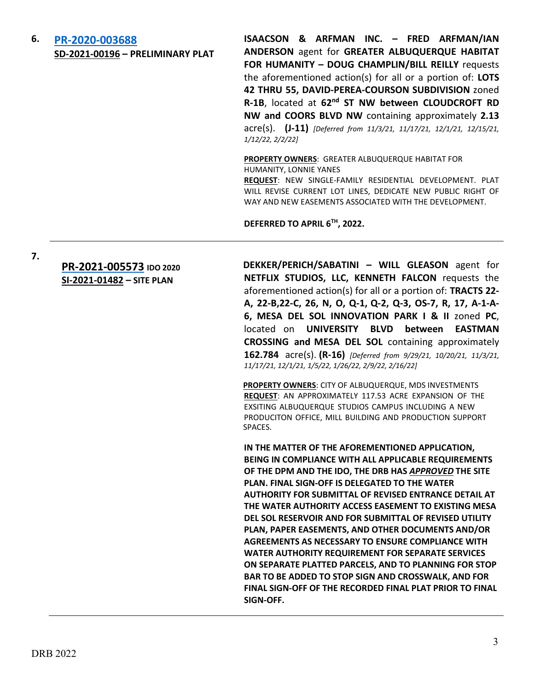### **6. [PR-2020-003688](http://data.cabq.gov/government/planning/DRB/PR-2020-003688/DRB%20Submittals/) SD-2021-00196 – PRELIMINARY PLAT**

**ISAACSON & ARFMAN INC. – FRED ARFMAN/IAN ANDERSON** agent for **GREATER ALBUQUERQUE HABITAT FOR HUMANITY – DOUG CHAMPLIN/BILL REILLY** requests the aforementioned action(s) for all or a portion of: **LOTS 42 THRU 55, DAVID-PEREA-COURSON SUBDIVISION** zoned **R-1B**, located at **62nd ST NW between CLOUDCROFT RD NW and COORS BLVD NW** containing approximately **2.13** acre(s). **(J-11)** *[Deferred from 11/3/21, 11/17/21, 12/1/21, 12/15/21, 1/12/22, 2/2/22]*

### **PROPERTY OWNERS**: GREATER ALBUQUERQUE HABITAT FOR HUMANITY, LONNIE YANES

**REQUEST**: NEW SINGLE-FAMILY RESIDENTIAL DEVELOPMENT. PLAT WILL REVISE CURRENT LOT LINES, DEDICATE NEW PUBLIC RIGHT OF WAY AND NEW EASEMENTS ASSOCIATED WITH THE DEVELOPMENT.

**DEFERRED TO APRIL 6TH, 2022.**

**7.**

### **[PR-2021-005573](http://data.cabq.gov/government/planning/DRB/PR-2021-005573/DRB%20Submittals/) IDO 2020 SI-2021-01482 – SITE PLAN**

**DEKKER/PERICH/SABATINI – WILL GLEASON** agent for **NETFLIX STUDIOS, LLC, KENNETH FALCON** requests the aforementioned action(s) for all or a portion of: **TRACTS 22- A, 22-B,22-C, 26, N, O, Q-1, Q-2, Q-3, OS-7, R, 17, A-1-A-6, MESA DEL SOL INNOVATION PARK I & II** zoned **PC**, located on **UNIVERSITY BLVD between EASTMAN CROSSING and MESA DEL SOL** containing approximately **162.784** acre(s). **(R-16)** *[Deferred from 9/29/21, 10/20/21, 11/3/21, 11/17/21, 12/1/21, 1/5/22, 1/26/22, 2/9/22, 2/16/22]*

**PROPERTY OWNERS**: CITY OF ALBUQUERQUE, MDS INVESTMENTS **REQUEST**: AN APPROXIMATELY 117.53 ACRE EXPANSION OF THE EXSITING ALBUQUERQUE STUDIOS CAMPUS INCLUDING A NEW PRODUCITON OFFICE, MILL BUILDING AND PRODUCTION SUPPORT SPACES.

**IN THE MATTER OF THE AFOREMENTIONED APPLICATION, BEING IN COMPLIANCE WITH ALL APPLICABLE REQUIREMENTS OF THE DPM AND THE IDO, THE DRB HAS** *APPROVED* **THE SITE PLAN. FINAL SIGN-OFF IS DELEGATED TO THE WATER AUTHORITY FOR SUBMITTAL OF REVISED ENTRANCE DETAIL AT THE WATER AUTHORITY ACCESS EASEMENT TO EXISTING MESA DEL SOL RESERVOIR AND FOR SUBMITTAL OF REVISED UTILITY PLAN, PAPER EASEMENTS, AND OTHER DOCUMENTS AND/OR AGREEMENTS AS NECESSARY TO ENSURE COMPLIANCE WITH WATER AUTHORITY REQUIREMENT FOR SEPARATE SERVICES ON SEPARATE PLATTED PARCELS, AND TO PLANNING FOR STOP BAR TO BE ADDED TO STOP SIGN AND CROSSWALK, AND FOR FINAL SIGN-OFF OF THE RECORDED FINAL PLAT PRIOR TO FINAL SIGN-OFF.**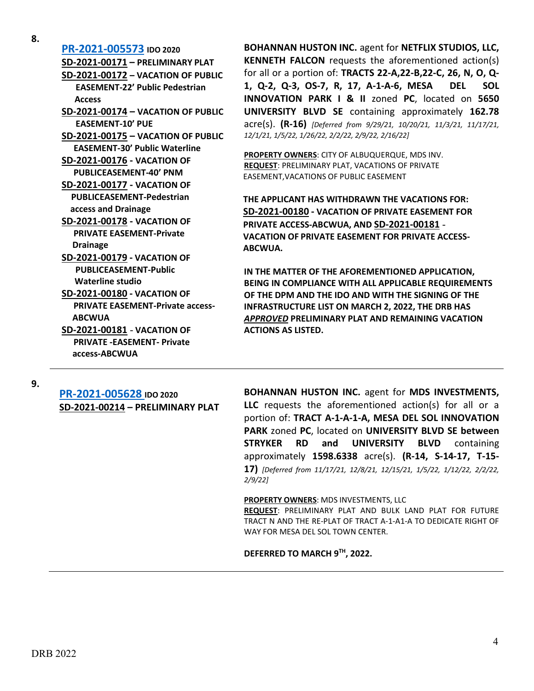| 8. |                                         |
|----|-----------------------------------------|
|    | PR-2021-005573 IDO 2020                 |
|    | SD-2021-00171 - PRELIMINARY PLAT        |
|    | SD-2021-00172 - VACATION OF PUBLIC      |
|    | <b>EASEMENT-22' Public Pedestrian</b>   |
|    | <b>Access</b>                           |
|    | SD-2021-00174 - VACATION OF PUBLIC      |
|    | <b>EASEMENT-10' PUE</b>                 |
|    | SD-2021-00175 - VACATION OF PUBLIC      |
|    | <b>EASEMENT-30' Public Waterline</b>    |
|    | <b>SD-2021-00176 - VACATION OF</b>      |
|    | <b>PUBLICEASEMENT-40' PNM</b>           |
|    | <b>SD-2021-00177 - VACATION OF</b>      |
|    | <b>PUBLICEASEMENT-Pedestrian</b>        |
|    | access and Drainage                     |
|    | <b>SD-2021-00178 - VACATION OF</b>      |
|    | <b>PRIVATE EASEMENT-Private</b>         |
|    | Drainage                                |
|    | <b>SD-2021-00179 - VACATION OF</b>      |
|    | <b>PUBLICEASEMENT-Public</b>            |
|    | <b>Waterline studio</b>                 |
|    | <b>SD-2021-00180 - VACATION OF</b>      |
|    | <b>PRIVATE EASEMENT-Private access-</b> |
|    | <b>ABCWUA</b>                           |
|    | <b>SD-2021-00181 - VACATION OF</b>      |
|    | <b>PRIVATE -EASEMENT- Private</b>       |
|    | access-ABCWUA                           |

**BOHANNAN HUSTON INC.** agent for **NETFLIX STUDIOS, LLC, KENNETH FALCON** requests the aforementioned action(s) for all or a portion of: **TRACTS 22-A,22-B,22-C, 26, N, O, Q-1, Q-2, Q-3, OS-7, R, 17, A-1-A-6, MESA DEL SOL INNOVATION PARK I & II** zoned **PC**, located on **5650 UNIVERSITY BLVD SE** containing approximately **162.78** acre(s). **(R-16)** *[Deferred from 9/29/21, 10/20/21, 11/3/21, 11/17/21, 12/1/21, 1/5/22, 1/26/22, 2/2/22, 2/9/22, 2/16/22]*

**PROPERTY OWNERS**: CITY OF ALBUQUERQUE, MDS INV. **REQUEST**: PRELIMINARY PLAT, VACATIONS OF PRIVATE EASEMENT,VACATIONS OF PUBLIC EASEMENT

**THE APPLICANT HAS WITHDRAWN THE VACATIONS FOR: SD-2021-00180 - VACATION OF PRIVATE EASEMENT FOR PRIVATE ACCESS-ABCWUA, AND SD-2021-00181** - **VACATION OF PRIVATE EASEMENT FOR PRIVATE ACCESS-ABCWUA.**

**IN THE MATTER OF THE AFOREMENTIONED APPLICATION, BEING IN COMPLIANCE WITH ALL APPLICABLE REQUIREMENTS OF THE DPM AND THE IDO AND WITH THE SIGNING OF THE INFRASTRUCTURE LIST ON MARCH 2, 2022, THE DRB HAS**  *APPROVED* **PRELIMINARY PLAT AND REMAINING VACATION ACTIONS AS LISTED.**

**9.**

**[PR-2021-005628](http://data.cabq.gov/government/planning/DRB/PR-2021-005628/DRB%20Submittals/) IDO 2020 SD-2021-00214 – PRELIMINARY PLAT** **BOHANNAN HUSTON INC.** agent for **MDS INVESTMENTS, LLC** requests the aforementioned action(s) for all or a portion of: **TRACT A-1-A-1-A, MESA DEL SOL INNOVATION PARK** zoned **PC**, located on **UNIVERSITY BLVD SE between STRYKER RD and UNIVERSITY BLVD** containing approximately **1598.6338** acre(s). **(R-14, S-14-17, T-15- 17)** *[Deferred from 11/17/21, 12/8/21, 12/15/21, 1/5/22, 1/12/22, 2/2/22, 2/9/22]*

**PROPERTY OWNERS**: MDS INVESTMENTS, LLC **REQUEST**: PRELIMINARY PLAT AND BULK LAND PLAT FOR FUTURE TRACT N AND THE RE-PLAT OF TRACT A-1-A1-A TO DEDICATE RIGHT OF WAY FOR MESA DEL SOL TOWN CENTER.

**DEFERRED TO MARCH 9TH, 2022.**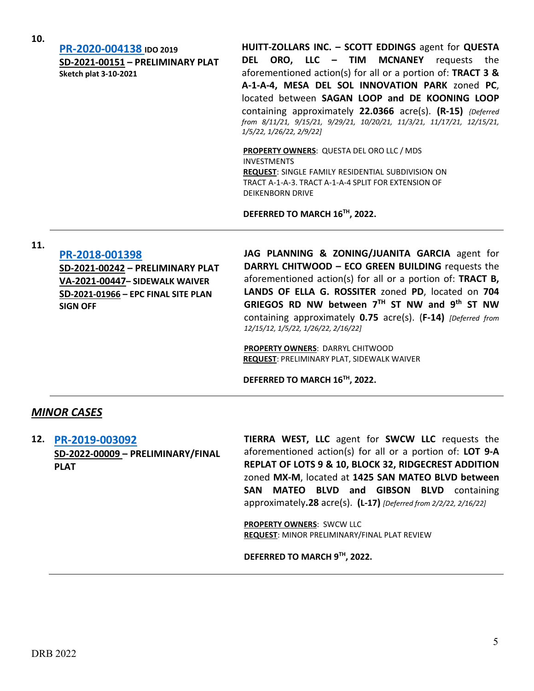**[PR-2020-004138](http://data.cabq.gov/government/planning/DRB/PR-2020-004138/DRB%20Submittals/) IDO 2019 SD-2021-00151 – PRELIMINARY PLAT Sketch plat 3-10-2021**

**HUITT-ZOLLARS INC. – SCOTT EDDINGS** agent for **QUESTA DEL ORO, LLC – TIM MCNANEY** requests the aforementioned action(s) for all or a portion of: **TRACT 3 & A-1-A-4, MESA DEL SOL INNOVATION PARK** zoned **PC**, located between **SAGAN LOOP and DE KOONING LOOP** containing approximately **22.0366** acre(s). **(R-15)** *{Deferred from 8/11/21, 9/15/21, 9/29/21, 10/20/21, 11/3/21, 11/17/21, 12/15/21, 1/5/22, 1/26/22, 2/9/22]*

**PROPERTY OWNERS**: QUESTA DEL ORO LLC / MDS INVESTMENTS **REQUEST**: SINGLE FAMILY RESIDENTIAL SUBDIVISION ON TRACT A-1-A-3. TRACT A-1-A-4 SPLIT FOR EXTENSION OF DEIKENBORN DRIVE

**DEFERRED TO MARCH 16TH, 2022.**

# **11. [PR-2018-001398](http://data.cabq.gov/government/planning/DRB/PR-2018-001398/DRB%20Submittals/)**

**SD-2021-00242 – PRELIMINARY PLAT VA-2021-00447– SIDEWALK WAIVER SD-2021-01966 – EPC FINAL SITE PLAN SIGN OFF**

**JAG PLANNING & ZONING/JUANITA GARCIA** agent for **DARRYL CHITWOOD – ECO GREEN BUILDING** requests the aforementioned action(s) for all or a portion of: **TRACT B, LANDS OF ELLA G. ROSSITER** zoned **PD**, located on **704 GRIEGOS RD NW between 7TH ST NW and 9th ST NW** containing approximately **0.75** acre(s). (**F-14)** *[Deferred from 12/15/12, 1/5/22, 1/26/22, 2/16/22]*

**PROPERTY OWNERS**: DARRYL CHITWOOD **REQUEST**: PRELIMINARY PLAT, SIDEWALK WAIVER

**DEFERRED TO MARCH 16TH, 2022.**

### *MINOR CASES*

**12. [PR-2019-003092](http://data.cabq.gov/government/planning/DRB/PR-2019-003092/DRB%20Submittals/) SD-2022-00009 – PRELIMINARY/FINAL PLAT**

**TIERRA WEST, LLC** agent for **SWCW LLC** requests the aforementioned action(s) for all or a portion of: **LOT 9-A REPLAT OF LOTS 9 & 10, BLOCK 32, RIDGECREST ADDITION**  zoned **MX-M**, located at **1425 SAN MATEO BLVD between SAN MATEO BLVD and GIBSON BLVD** containing approximately**.28** acre(s). **(L-17)** *[Deferred from 2/2/22, 2/16/22]*

**PROPERTY OWNERS**: SWCW LLC **REQUEST**: MINOR PRELIMINARY/FINAL PLAT REVIEW

**DEFERRED TO MARCH 9TH, 2022.**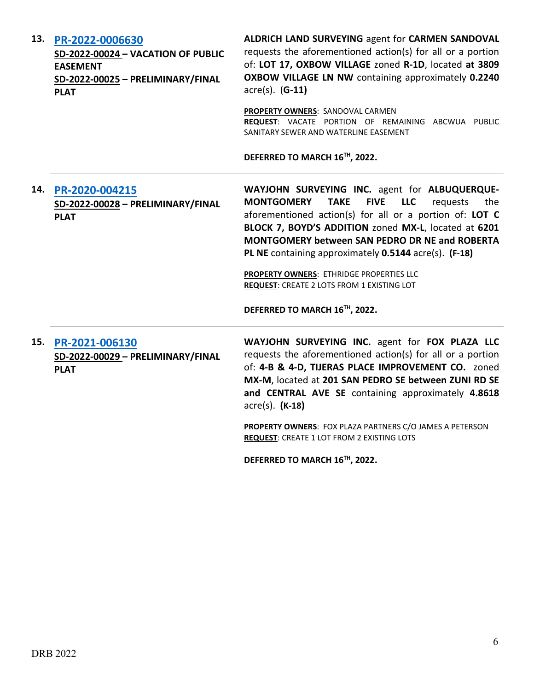| 13. | PR-2022-0006630<br>SD-2022-00024 - VACATION OF PUBLIC<br><b>EASEMENT</b><br>SD-2022-00025 - PRELIMINARY/FINAL<br><b>PLAT</b> | <b>ALDRICH LAND SURVEYING agent for CARMEN SANDOVAL</b><br>requests the aforementioned action(s) for all or a portion<br>of: LOT 17, OXBOW VILLAGE zoned R-1D, located at 3809<br>OXBOW VILLAGE LN NW containing approximately 0.2240<br>$\arccos(5)$ . (G-11)                                                                                                                                                                                                                                    |
|-----|------------------------------------------------------------------------------------------------------------------------------|---------------------------------------------------------------------------------------------------------------------------------------------------------------------------------------------------------------------------------------------------------------------------------------------------------------------------------------------------------------------------------------------------------------------------------------------------------------------------------------------------|
|     |                                                                                                                              | PROPERTY OWNERS: SANDOVAL CARMEN<br>REQUEST: VACATE PORTION OF REMAINING ABCWUA PUBLIC<br>SANITARY SEWER AND WATERLINE EASEMENT                                                                                                                                                                                                                                                                                                                                                                   |
|     |                                                                                                                              | DEFERRED TO MARCH 16TH, 2022.                                                                                                                                                                                                                                                                                                                                                                                                                                                                     |
| 14. | PR-2020-004215<br>SD-2022-00028 - PRELIMINARY/FINAL<br><b>PLAT</b>                                                           | WAYJOHN SURVEYING INC. agent for ALBUQUERQUE-<br><b>FIVE</b><br><b>LLC</b><br><b>MONTGOMERY</b><br><b>TAKE</b><br>requests<br>the<br>aforementioned action(s) for all or a portion of: LOT C<br>BLOCK 7, BOYD'S ADDITION zoned MX-L, located at 6201<br><b>MONTGOMERY between SAN PEDRO DR NE and ROBERTA</b><br>PL NE containing approximately 0.5144 acre(s). (F-18)<br>PROPERTY OWNERS: ETHRIDGE PROPERTIES LLC<br>REQUEST: CREATE 2 LOTS FROM 1 EXISTING LOT<br>DEFERRED TO MARCH 16TH, 2022. |
| 15. | PR-2021-006130<br>SD-2022-00029 - PRELIMINARY/FINAL<br><b>PLAT</b>                                                           | WAYJOHN SURVEYING INC. agent for FOX PLAZA LLC<br>requests the aforementioned action(s) for all or a portion<br>of: 4-B & 4-D, TIJERAS PLACE IMPROVEMENT CO. zoned<br>MX-M, located at 201 SAN PEDRO SE between ZUNI RD SE<br>and CENTRAL AVE SE containing approximately 4.8618<br>$\arccos(5)$ . (K-18)<br>PROPERTY OWNERS: FOX PLAZA PARTNERS C/O JAMES A PETERSON<br>REQUEST: CREATE 1 LOT FROM 2 EXISTING LOTS                                                                               |
|     |                                                                                                                              | DEFERRED TO MARCH 16TH, 2022.                                                                                                                                                                                                                                                                                                                                                                                                                                                                     |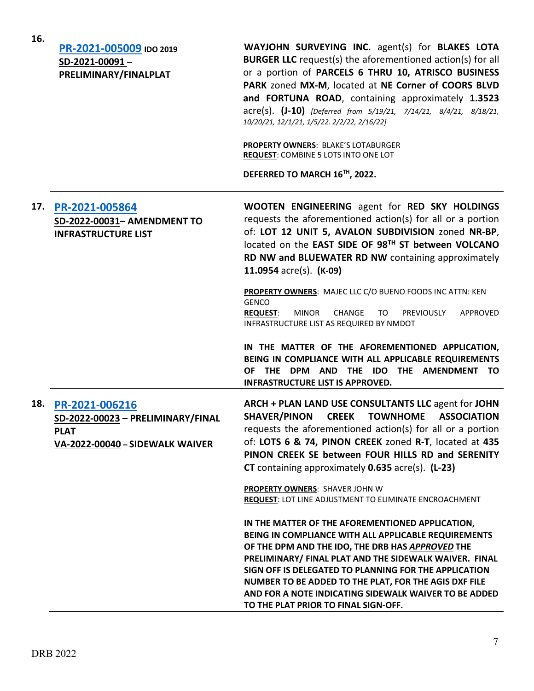| 16. | PR-2021-005009 IDO 2019<br>SD-2021-00091-<br>PRELIMINARY/FINALPLAT                                    | WAYJOHN SURVEYING INC. agent(s) for BLAKES LOTA<br><b>BURGER LLC</b> request(s) the aforementioned action(s) for all<br>or a portion of PARCELS 6 THRU 10, ATRISCO BUSINESS<br>PARK zoned MX-M, located at NE Corner of COORS BLVD<br>and FORTUNA ROAD, containing approximately 1.3523<br>$\text{acre}(s)$ . (J-10) [Deferred from 5/19/21, 7/14/21, 8/4/21, 8/18/21,<br>10/20/21, 12/1/21, 1/5/22. 2/2/22, 2/16/22]<br><b>PROPERTY OWNERS: BLAKE'S LOTABURGER</b><br><b>REQUEST: COMBINE 5 LOTS INTO ONE LOT</b><br>DEFERRED TO MARCH 16TH, 2022.                                                                                                                                           |
|-----|-------------------------------------------------------------------------------------------------------|-----------------------------------------------------------------------------------------------------------------------------------------------------------------------------------------------------------------------------------------------------------------------------------------------------------------------------------------------------------------------------------------------------------------------------------------------------------------------------------------------------------------------------------------------------------------------------------------------------------------------------------------------------------------------------------------------|
| 17. | PR-2021-005864<br>SD-2022-00031- AMENDMENT TO<br><b>INFRASTRUCTURE LIST</b>                           | WOOTEN ENGINEERING agent for RED SKY HOLDINGS<br>requests the aforementioned action(s) for all or a portion<br>of: LOT 12 UNIT 5, AVALON SUBDIVISION zoned NR-BP,<br>located on the EAST SIDE OF 98TH ST between VOLCANO<br>RD NW and BLUEWATER RD NW containing approximately<br>11.0954 $\text{acre}(s)$ . (K-09)<br>PROPERTY OWNERS: MAJEC LLC C/O BUENO FOODS INC ATTN: KEN<br><b>GENCO</b><br><b>MINOR</b><br>APPROVED<br><b>REQUEST:</b><br><b>CHANGE</b><br>TO<br><b>PREVIOUSLY</b><br>INFRASTRUCTURE LIST AS REQUIRED BY NMDOT<br>IN THE MATTER OF THE AFOREMENTIONED APPLICATION,<br>BEING IN COMPLIANCE WITH ALL APPLICABLE REQUIREMENTS<br>OF THE DPM AND THE IDO THE AMENDMENT TO |
|     |                                                                                                       | <b>INFRASTRUCTURE LIST IS APPROVED.</b>                                                                                                                                                                                                                                                                                                                                                                                                                                                                                                                                                                                                                                                       |
| 18. | PR-2021-006216<br>SD-2022-00023 - PRELIMINARY/FINAL<br><b>PLAT</b><br>VA-2022-00040 - SIDEWALK WAIVER | ARCH + PLAN LAND USE CONSULTANTS LLC agent for JOHN<br><b>SHAVER/PINON</b><br><b>CREEK</b><br><b>TOWNHOME</b><br><b>ASSOCIATION</b><br>requests the aforementioned action(s) for all or a portion<br>of: LOTS 6 & 74, PINON CREEK zoned R-T, located at 435<br>PINON CREEK SE between FOUR HILLS RD and SERENITY<br>CT containing approximately 0.635 acre(s). (L-23)                                                                                                                                                                                                                                                                                                                         |
|     |                                                                                                       | <b>PROPERTY OWNERS: SHAVER JOHN W</b><br>REQUEST: LOT LINE ADJUSTMENT TO ELIMINATE ENCROACHMENT                                                                                                                                                                                                                                                                                                                                                                                                                                                                                                                                                                                               |
|     |                                                                                                       | IN THE MATTER OF THE AFOREMENTIONED APPLICATION,<br>BEING IN COMPLIANCE WITH ALL APPLICABLE REQUIREMENTS<br>OF THE DPM AND THE IDO, THE DRB HAS APPROVED THE<br>PRELIMINARY/ FINAL PLAT AND THE SIDEWALK WAIVER. FINAL<br>SIGN OFF IS DELEGATED TO PLANNING FOR THE APPLICATION<br>NUMBER TO BE ADDED TO THE PLAT, FOR THE AGIS DXF FILE<br>AND FOR A NOTE INDICATING SIDEWALK WAIVER TO BE ADDED<br>TO THE PLAT PRIOR TO FINAL SIGN-OFF.                                                                                                                                                                                                                                                     |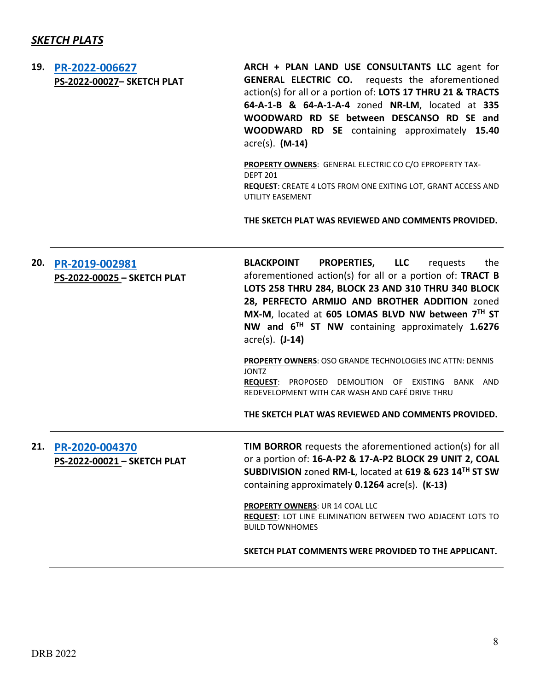# *SKETCH PLATS*

| 19. | PR-2022-006627<br>PS-2022-00027- SKETCH PLAT  | ARCH + PLAN LAND USE CONSULTANTS LLC agent for<br><b>GENERAL ELECTRIC CO.</b> requests the aforementioned<br>action(s) for all or a portion of: LOTS 17 THRU 21 & TRACTS<br>64-A-1-B & 64-A-1-A-4 zoned NR-LM, located at 335<br>WOODWARD RD SE between DESCANSO RD SE and<br>WOODWARD RD SE containing approximately 15.40<br>acre(s). (M-14)                                                                                                                                    |
|-----|-----------------------------------------------|-----------------------------------------------------------------------------------------------------------------------------------------------------------------------------------------------------------------------------------------------------------------------------------------------------------------------------------------------------------------------------------------------------------------------------------------------------------------------------------|
|     |                                               | PROPERTY OWNERS: GENERAL ELECTRIC CO C/O EPROPERTY TAX-<br><b>DEPT 201</b><br><b>REQUEST:</b> CREATE 4 LOTS FROM ONE EXITING LOT, GRANT ACCESS AND<br>UTILITY EASEMENT                                                                                                                                                                                                                                                                                                            |
|     |                                               | THE SKETCH PLAT WAS REVIEWED AND COMMENTS PROVIDED.                                                                                                                                                                                                                                                                                                                                                                                                                               |
| 20. | PR-2019-002981<br>PS-2022-00025 - SKETCH PLAT | <b>PROPERTIES,</b><br><b>BLACKPOINT</b><br><b>LLC</b><br>the<br>requests<br>aforementioned action(s) for all or a portion of: TRACT B<br>LOTS 258 THRU 284, BLOCK 23 AND 310 THRU 340 BLOCK<br>28, PERFECTO ARMIJO AND BROTHER ADDITION zoned<br>MX-M, located at 605 LOMAS BLVD NW between 7TH ST<br>NW and 6 <sup>TH</sup> ST NW containing approximately 1.6276<br>$\arccos(5)$ . $(J-14)$<br><b>PROPERTY OWNERS: OSO GRANDE TECHNOLOGIES INC ATTN: DENNIS</b><br><b>JONTZ</b> |
|     |                                               | PROPOSED DEMOLITION OF EXISTING BANK AND<br><b>REQUEST:</b><br>REDEVELOPMENT WITH CAR WASH AND CAFÉ DRIVE THRU<br>THE SKETCH PLAT WAS REVIEWED AND COMMENTS PROVIDED.                                                                                                                                                                                                                                                                                                             |
| 21. | PR-2020-004370<br>PS-2022-00021 - SKETCH PLAT | TIM BORROR requests the aforementioned action(s) for all<br>or a portion of: 16-A-P2 & 17-A-P2 BLOCK 29 UNIT 2, COAL<br>SUBDIVISION zoned RM-L, located at 619 & 623 14TH ST SW<br>containing approximately 0.1264 acre(s). (K-13)<br><b>PROPERTY OWNERS: UR 14 COAL LLC</b>                                                                                                                                                                                                      |
|     |                                               | REQUEST: LOT LINE ELIMINATION BETWEEN TWO ADJACENT LOTS TO<br><b>BUILD TOWNHOMES</b>                                                                                                                                                                                                                                                                                                                                                                                              |
|     |                                               | SKETCH PLAT COMMENTS WERE PROVIDED TO THE APPLICANT.                                                                                                                                                                                                                                                                                                                                                                                                                              |